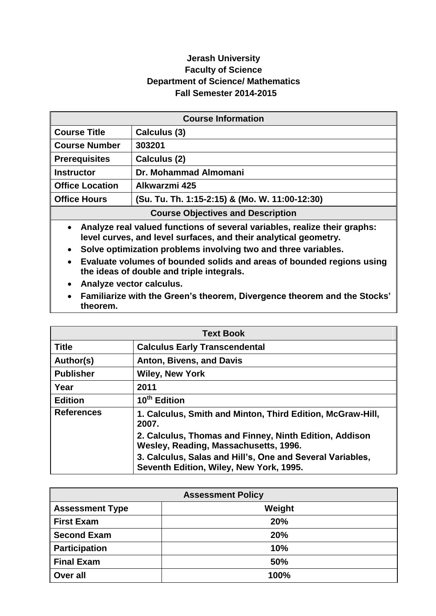## **Jerash University Faculty of Science Department of Science/ Mathematics Fall Semester 2014-2015**

| <b>Course Information</b>                |                                                |
|------------------------------------------|------------------------------------------------|
| <b>Course Title</b>                      | Calculus (3)                                   |
| <b>Course Number</b>                     | 303201                                         |
| <b>Prerequisites</b>                     | Calculus (2)                                   |
| <b>Instructor</b>                        | Dr. Mohammad Almomani                          |
| <b>Office Location</b>                   | Alkwarzmi 425                                  |
| <b>Office Hours</b>                      | (Su. Tu. Th. 1:15-2:15) & (Mo. W. 11:00-12:30) |
| <b>Course Objectives and Description</b> |                                                |

 **Analyze real valued functions of several variables, realize their graphs: level curves, and level surfaces, and their analytical geometry.**

- **Solve optimization problems involving two and three variables.**
- **Evaluate volumes of bounded solids and areas of bounded regions using the ideas of double and triple integrals.**
- **Analyze vector calculus.**
- **Familiarize with the Green's theorem, Divergence theorem and the Stocks' theorem.**

|                   | <b>Text Book</b>                                                                                     |
|-------------------|------------------------------------------------------------------------------------------------------|
| <b>Title</b>      | <b>Calculus Early Transcendental</b>                                                                 |
| Author(s)         | Anton, Bivens, and Davis                                                                             |
| <b>Publisher</b>  | <b>Wiley, New York</b>                                                                               |
| Year              | 2011                                                                                                 |
| <b>Edition</b>    | 10 <sup>th</sup> Edition                                                                             |
| <b>References</b> | 1. Calculus, Smith and Minton, Third Edition, McGraw-Hill,<br>2007.                                  |
|                   | 2. Calculus, Thomas and Finney, Ninth Edition, Addison<br>Wesley, Reading, Massachusetts, 1996.      |
|                   | 3. Calculus, Salas and Hill's, One and Several Variables,<br>Seventh Edition, Wiley, New York, 1995. |

| <b>Assessment Policy</b> |        |
|--------------------------|--------|
| <b>Assessment Type</b>   | Weight |
| <b>First Exam</b>        | 20%    |
| <b>Second Exam</b>       | 20%    |
| <b>Participation</b>     | 10%    |
| <b>Final Exam</b>        | 50%    |
| Over all                 | 100%   |